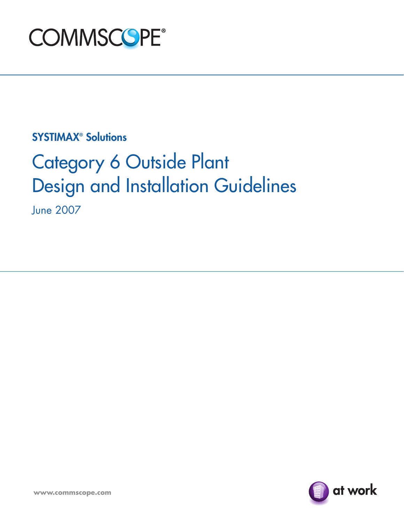

SYSTIMAX® Solutions

# Category 6 Outside Plant Design and Installation Guidelines

June 2007

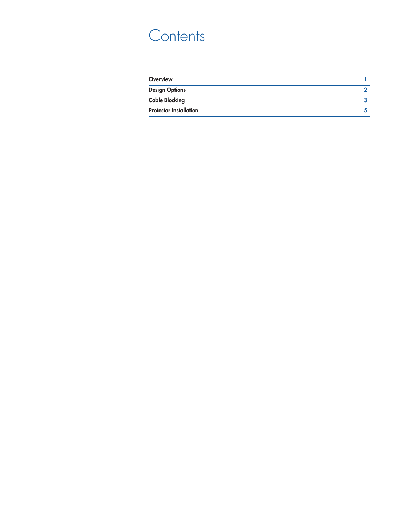### **Contents**

| Overview                      |  |
|-------------------------------|--|
| <b>Design Options</b>         |  |
| <b>Cable Blocking</b>         |  |
| <b>Protector Installation</b> |  |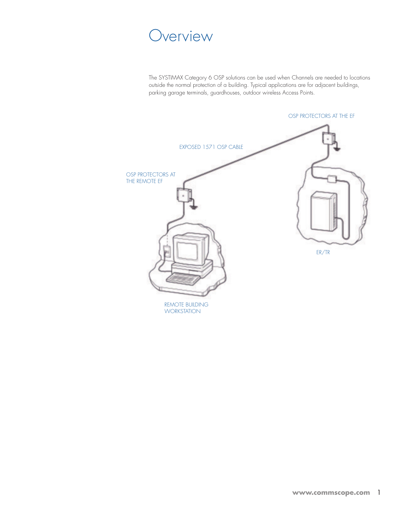### **Overview**

The SYSTIMAX Category 6 OSP solutions can be used when Channels are needed to locations outside the normal protection of a building. Typical applications are for adjacent buildings, parking garage terminals, guardhouses, outdoor wireless Access Points.

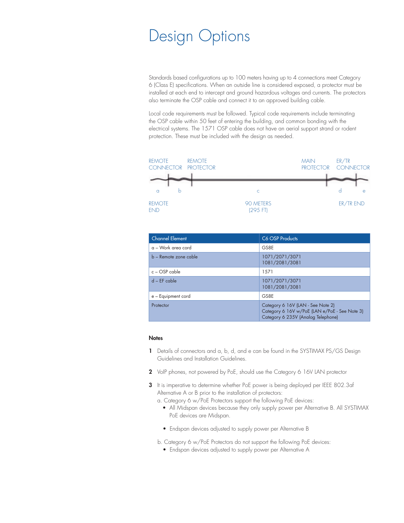### Design Options

Standards based configurations up to 100 meters having up to 4 connections meet Category 6 (Class E) specifications. When an outside line is considered exposed, a protector must be installed at each end to intercept and ground hazardous voltages and currents. The protectors also terminate the OSP cable and connect it to an approved building cable.

Local code requirements must be followed. Typical code requirements include terminating the OSP cable within 50 feet of entering the building, and common bonding with the electrical systems. The 1571 OSP cable does not have an aerial support strand or rodent protection. These must be included with the design as needed.



| <b>Channel Element</b> | <b>C6 OSP Products</b>                                                                                                   |
|------------------------|--------------------------------------------------------------------------------------------------------------------------|
| a – Work area cord     | GS8E                                                                                                                     |
| b - Remote zone cable  | 1071/2071/3071<br>1081/2081/3081                                                                                         |
| $c$ – OSP cable        | 1571                                                                                                                     |
| $d$ – EF cable         | 1071/2071/3071<br>1081/2081/3081                                                                                         |
| e – Equipment cord     | GS8E                                                                                                                     |
| Protector              | Category 6 16V (LAN - See Note 2)<br>Category 6 16V w/PoE (LAN e/PoE - See Note 3)<br>Category 6 235V (Analog Telephone) |

- 1 Details of connectors and a, b, d, and e can be found in the SYSTIMAX PS/GS Design Guidelines and Installation Guidelines.
- 2 VoIP phones, not powered by PoE, should use the Category 6 16V LAN protector
- 3 It is imperative to determine whether PoE power is being deployed per IEEE 802.3af Alternative A or B prior to the installation of protectors:
	- a. Category 6 w/PoE Protectors support the following PoE devices:
		- All Midspan devices because they only supply power per Alternative B. All SYSTIMAX PoE devices are Midspan.
		- Endspan devices adjusted to supply power per Alternative B
	- b. Category 6 w/PoE Protectors do not support the following PoE devices:
		- Endspan devices adjusted to supply power per Alternative A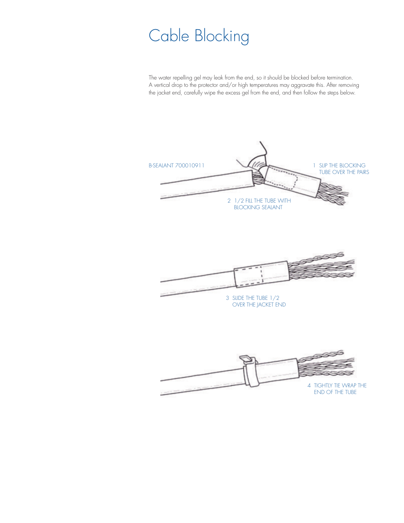# Cable Blocking

The water repelling gel may leak from the end, so it should be blocked before termination. A vertical drop to the protector and/or high temperatures may aggravate this. After removing the jacket end, carefully wipe the excess gel from the end, and then follow the steps below.





4 Tightly tie wrap the

end of the tube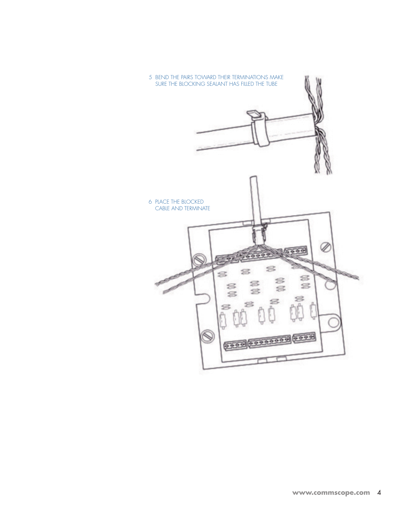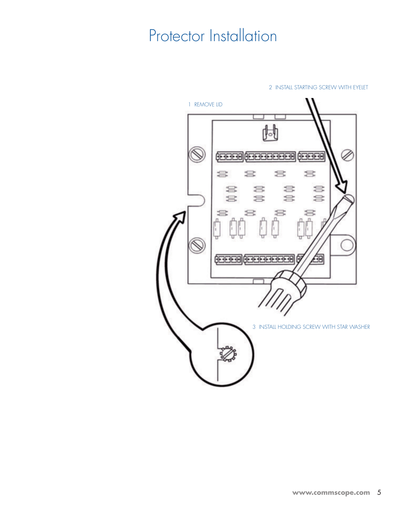## Protector Installation

### 1 Remove lid 18888888 **EBBBB** 1 888888 3 S s g  $\n *00*\n *00*\n$ ti ti  $\n *00*\n *00*\n *00*\n *00*\n *00*\n *00*\n *00*\n *00*\n *00*\n *00*\n *00*\n *00*\n *00*\n *00*\n *00*\n *00*\n *00*\n *00*\n *00*\n *00*\n *00*\n *00*\$  $\n *0*\n *0*\n$ s s s 888 ß 3 Install holding screw with star washer

#### 2 Install starting screw with eyelet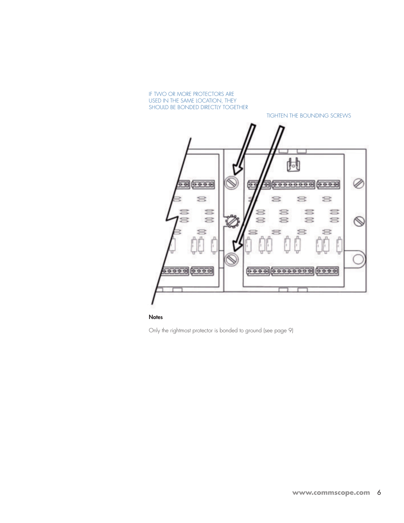#### If two or more protectors are used in the same location, they should be bonded directly together



**Notes** 

Only the rightmost protector is bonded to ground (see page 9)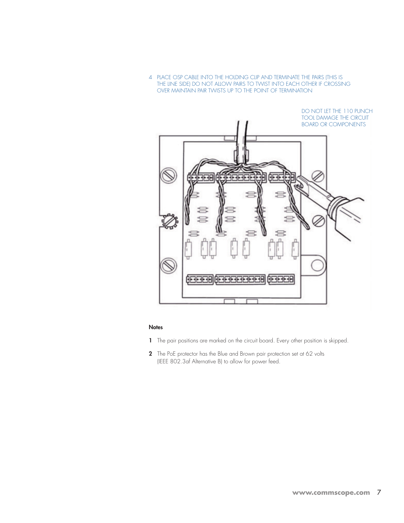4 Place OSP cable into the holding clip and terminate the pairs (This is the LINE side) Do not allow pairs to twist into each other if crossing over Maintain pair twists up to the point of termination



- 1 The pair positions are marked on the circuit board. Every other position is skipped.
- 2 The PoE protector has the Blue and Brown pair protection set at 62 volts (IEEE 802.3af Alternative B) to allow for power feed.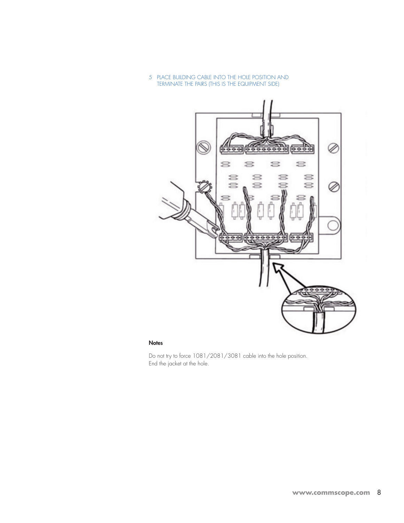#### 5 Place building cable into the hole position and terminate the pairs (this is the EQUIPMENT side)



#### **Notes**

Do not try to force 1081/2081/3081 cable into the hole position. End the jacket at the hole.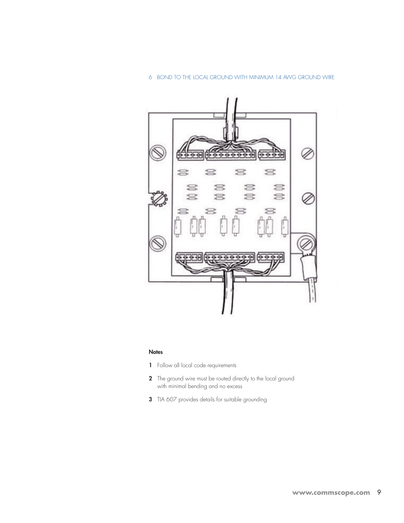#### 6 Bond to the local GROUND with minimum 14 AWG ground wire



- 1 Follow all local code requirements
- 2 The ground wire must be routed directly to the local ground with minimal bending and no excess
- 3 TIA 607 provides details for suitable grounding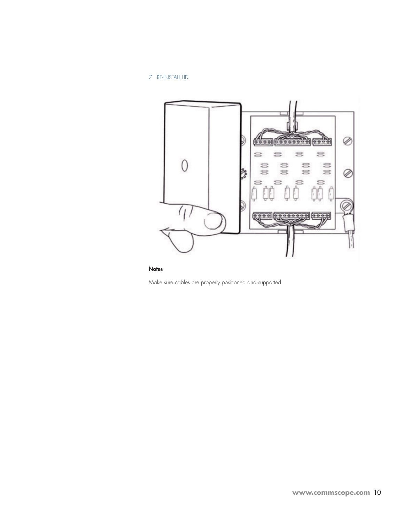#### 7 re-install lid



Make sure cables are properly positioned and supported